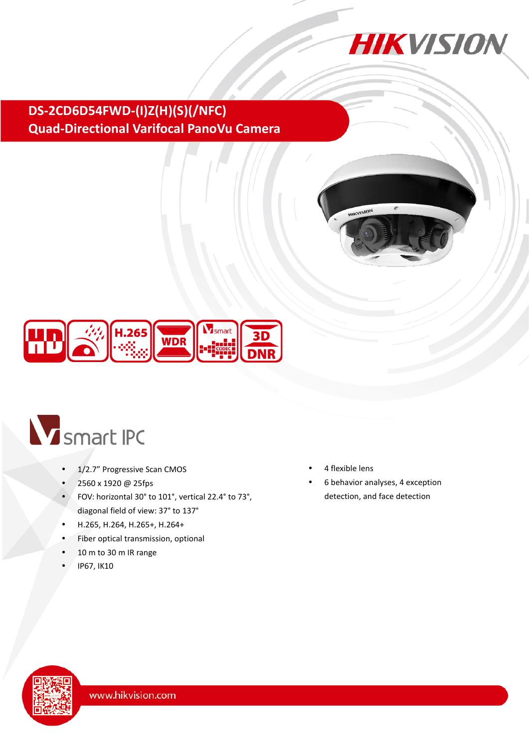

## **DS-2CD6D54FWD-(I)Z(H)(S)(/NFC) Quad-Directional Varifocal PanoVu Camera**





# V smart IPC

- 1/2.7" Progressive Scan CMOS
- 2560 x 1920 @ 25fps
- FOV: horizontal 30° to 101°, vertical 22.4° to 73°, diagonal field of view: 37° to 137°
- H.265, H.264, H.265+, H.264+
- Fiber optical transmission, optional
- 10 m to 30 m IR range
- IP67, IK10
- 4 flexible lens
- 6 behavior analyses, 4 exception detection, and face detection

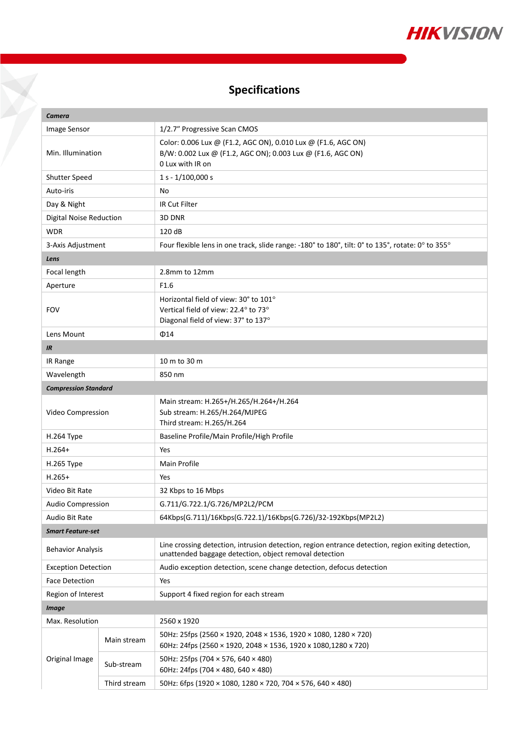

# **Specifications**

Y

| Camera                         |              |                                                                                                                                                              |  |  |
|--------------------------------|--------------|--------------------------------------------------------------------------------------------------------------------------------------------------------------|--|--|
| Image Sensor                   |              | 1/2.7" Progressive Scan CMOS                                                                                                                                 |  |  |
| Min. Illumination              |              | Color: 0.006 Lux @ (F1.2, AGC ON), 0.010 Lux @ (F1.6, AGC ON)<br>B/W: 0.002 Lux @ (F1.2, AGC ON); 0.003 Lux @ (F1.6, AGC ON)<br>0 Lux with IR on             |  |  |
| Shutter Speed                  |              | $1 s - 1/100,000 s$                                                                                                                                          |  |  |
| Auto-iris                      |              | No                                                                                                                                                           |  |  |
| Day & Night                    |              | IR Cut Filter                                                                                                                                                |  |  |
| <b>Digital Noise Reduction</b> |              | 3D DNR                                                                                                                                                       |  |  |
| <b>WDR</b>                     |              | 120 dB                                                                                                                                                       |  |  |
| 3-Axis Adjustment              |              | Four flexible lens in one track, slide range: -180° to 180°, tilt: 0° to 135°, rotate: 0° to 355°                                                            |  |  |
| Lens                           |              |                                                                                                                                                              |  |  |
| Focal length                   |              | 2.8mm to 12mm                                                                                                                                                |  |  |
| Aperture                       |              | F <sub>1.6</sub>                                                                                                                                             |  |  |
| <b>FOV</b>                     |              | Horizontal field of view: 30° to 101°                                                                                                                        |  |  |
|                                |              | Vertical field of view: 22.4° to 73°                                                                                                                         |  |  |
|                                |              | Diagonal field of view: 37° to 137°                                                                                                                          |  |  |
| Lens Mount<br>$\Phi$ 14        |              |                                                                                                                                                              |  |  |
| <b>IR</b>                      |              |                                                                                                                                                              |  |  |
| IR Range                       |              | 10 m to 30 m                                                                                                                                                 |  |  |
| Wavelength                     |              | 850 nm                                                                                                                                                       |  |  |
| <b>Compression Standard</b>    |              |                                                                                                                                                              |  |  |
| Video Compression              |              | Main stream: H.265+/H.265/H.264+/H.264<br>Sub stream: H.265/H.264/MJPEG<br>Third stream: H.265/H.264                                                         |  |  |
| H.264 Type                     |              | Baseline Profile/Main Profile/High Profile                                                                                                                   |  |  |
| $H.264+$                       |              | Yes                                                                                                                                                          |  |  |
| H.265 Type                     |              | Main Profile                                                                                                                                                 |  |  |
| $H.265+$                       |              | Yes                                                                                                                                                          |  |  |
| Video Bit Rate                 |              | 32 Kbps to 16 Mbps                                                                                                                                           |  |  |
| Audio Compression              |              | G.711/G.722.1/G.726/MP2L2/PCM                                                                                                                                |  |  |
| Audio Bit Rate                 |              | 64Kbps(G.711)/16Kbps(G.722.1)/16Kbps(G.726)/32-192Kbps(MP2L2)                                                                                                |  |  |
| <b>Smart Feature-set</b>       |              |                                                                                                                                                              |  |  |
| <b>Behavior Analysis</b>       |              | Line crossing detection, intrusion detection, region entrance detection, region exiting detection,<br>unattended baggage detection, object removal detection |  |  |
| <b>Exception Detection</b>     |              | Audio exception detection, scene change detection, defocus detection                                                                                         |  |  |
| <b>Face Detection</b>          |              | Yes                                                                                                                                                          |  |  |
| Region of Interest             |              | Support 4 fixed region for each stream                                                                                                                       |  |  |
| <b>Image</b>                   |              |                                                                                                                                                              |  |  |
| Max. Resolution                |              | 2560 x 1920                                                                                                                                                  |  |  |
| Original Image                 | Main stream  | 50Hz: 25fps (2560 × 1920, 2048 × 1536, 1920 × 1080, 1280 × 720)<br>60Hz: 24fps (2560 × 1920, 2048 × 1536, 1920 x 1080,1280 x 720)                            |  |  |
|                                | Sub-stream   | 50Hz: 25fps (704 $\times$ 576, 640 $\times$ 480)<br>60Hz: 24fps (704 $\times$ 480, 640 $\times$ 480)                                                         |  |  |
|                                | Third stream | 50Hz: 6fps (1920 × 1080, 1280 × 720, 704 × 576, 640 × 480)                                                                                                   |  |  |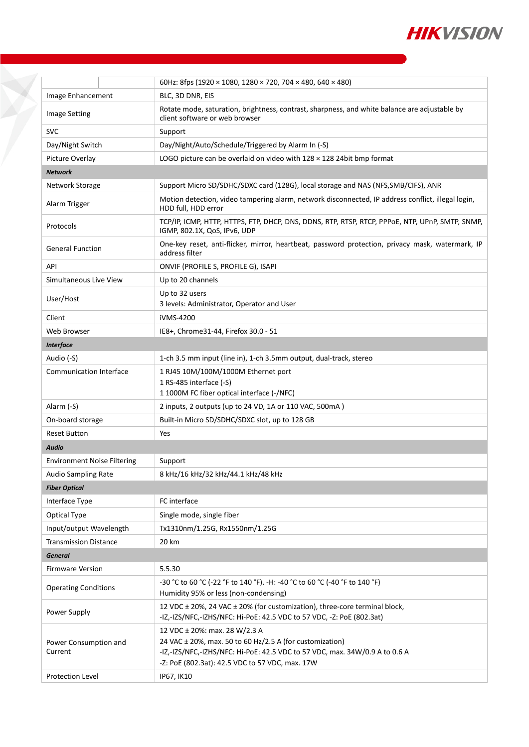

|                                    | 60Hz: 8fps (1920 × 1080, 1280 × 720, 704 × 480, 640 × 480)                                                                                          |  |  |  |
|------------------------------------|-----------------------------------------------------------------------------------------------------------------------------------------------------|--|--|--|
| Image Enhancement                  | BLC, 3D DNR, EIS                                                                                                                                    |  |  |  |
| <b>Image Setting</b>               | Rotate mode, saturation, brightness, contrast, sharpness, and white balance are adjustable by<br>client software or web browser                     |  |  |  |
| <b>SVC</b>                         | Support                                                                                                                                             |  |  |  |
| Day/Night Switch                   | Day/Night/Auto/Schedule/Triggered by Alarm In (-S)                                                                                                  |  |  |  |
| Picture Overlay                    | LOGO picture can be overlaid on video with 128 x 128 24bit bmp format                                                                               |  |  |  |
| <b>Network</b>                     |                                                                                                                                                     |  |  |  |
| Network Storage                    | Support Micro SD/SDHC/SDXC card (128G), local storage and NAS (NFS, SMB/CIFS), ANR                                                                  |  |  |  |
| Alarm Trigger                      | Motion detection, video tampering alarm, network disconnected, IP address conflict, illegal login,<br>HDD full, HDD error                           |  |  |  |
| Protocols                          | TCP/IP, ICMP, HTTP, HTTPS, FTP, DHCP, DNS, DDNS, RTP, RTSP, RTCP, PPPOE, NTP, UPnP, SMTP, SNMP,<br>IGMP, 802.1X, QoS, IPv6, UDP                     |  |  |  |
| <b>General Function</b>            | One-key reset, anti-flicker, mirror, heartbeat, password protection, privacy mask, watermark, IP<br>address filter                                  |  |  |  |
| API                                | ONVIF (PROFILE S, PROFILE G), ISAPI                                                                                                                 |  |  |  |
| Simultaneous Live View             | Up to 20 channels                                                                                                                                   |  |  |  |
| User/Host                          | Up to 32 users<br>3 levels: Administrator, Operator and User                                                                                        |  |  |  |
| Client                             | iVMS-4200                                                                                                                                           |  |  |  |
| Web Browser                        | IE8+, Chrome31-44, Firefox 30.0 - 51                                                                                                                |  |  |  |
| <b>Interface</b>                   |                                                                                                                                                     |  |  |  |
| Audio (-S)                         | 1-ch 3.5 mm input (line in), 1-ch 3.5mm output, dual-track, stereo                                                                                  |  |  |  |
| <b>Communication Interface</b>     | 1 RJ45 10M/100M/1000M Ethernet port<br>1 RS-485 interface (-S)<br>1 1000M FC fiber optical interface (-/NFC)                                        |  |  |  |
| Alarm (-S)                         | 2 inputs, 2 outputs (up to 24 VD, 1A or 110 VAC, 500mA)                                                                                             |  |  |  |
| On-board storage                   | Built-in Micro SD/SDHC/SDXC slot, up to 128 GB                                                                                                      |  |  |  |
| <b>Reset Button</b>                | Yes                                                                                                                                                 |  |  |  |
| <b>Audio</b>                       |                                                                                                                                                     |  |  |  |
| <b>Environment Noise Filtering</b> | Support                                                                                                                                             |  |  |  |
| Audio Sampling Rate                | 8 kHz/16 kHz/32 kHz/44.1 kHz/48 kHz                                                                                                                 |  |  |  |
| <b>Fiber Optical</b>               |                                                                                                                                                     |  |  |  |
| Interface Type                     | FC interface                                                                                                                                        |  |  |  |
| Optical Type                       | Single mode, single fiber                                                                                                                           |  |  |  |
| Input/output Wavelength            | Tx1310nm/1.25G, Rx1550nm/1.25G                                                                                                                      |  |  |  |
| <b>Transmission Distance</b>       | 20 km                                                                                                                                               |  |  |  |
| <b>General</b>                     |                                                                                                                                                     |  |  |  |
| <b>Firmware Version</b>            | 5.5.30                                                                                                                                              |  |  |  |
| <b>Operating Conditions</b>        | -30 °C to 60 °C (-22 °F to 140 °F). -H: -40 °C to 60 °C (-40 °F to 140 °F)<br>Humidity 95% or less (non-condensing)                                 |  |  |  |
| Power Supply                       | 12 VDC ± 20%, 24 VAC ± 20% (for customization), three-core terminal block,<br>-IZ,-IZS/NFC,-IZHS/NFC: Hi-PoE: 42.5 VDC to 57 VDC, -Z: PoE (802.3at) |  |  |  |
| Power Consumption and              | 12 VDC ± 20%: max. 28 W/2.3 A<br>24 VAC $\pm$ 20%, max. 50 to 60 Hz/2.5 A (for customization)                                                       |  |  |  |
| Current                            | -IZ,-IZS/NFC,-IZHS/NFC: Hi-PoE: 42.5 VDC to 57 VDC, max. 34W/0.9 A to 0.6 A<br>-Z: PoE (802.3at): 42.5 VDC to 57 VDC, max. 17W                      |  |  |  |
| <b>Protection Level</b>            | IP67, IK10                                                                                                                                          |  |  |  |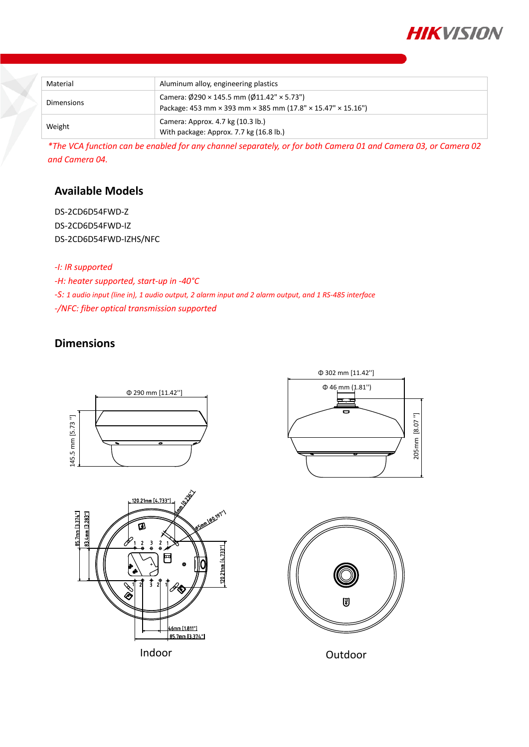

| Material   | Aluminum alloy, engineering plastics                                                                                            |
|------------|---------------------------------------------------------------------------------------------------------------------------------|
| Dimensions | Camera: $\emptyset$ 290 × 145.5 mm ( $\emptyset$ 11.42" × 5.73")<br>Package: 453 mm × 393 mm × 385 mm (17.8" × 15.47" × 15.16") |
| Weight     | Camera: Approx. 4.7 kg (10.3 lb.)<br>With package: Approx. 7.7 kg (16.8 lb.)                                                    |

*\*The VCA function can be enabled for any channel separately, or for both Camera 01 and Camera 03, or Camera 02 and Camera 04.*

### **Available Models**

DS-2CD6D54FWD-Z DS-2CD6D54FWD-IZ DS-2CD6D54FWD-IZHS/NFC

*-I: IR supported*

*-H: heater supported, start-up in -40°C*

*-S: 1 audio input (line in), 1 audio output, 2 alarm input and 2 alarm output, and 1 RS-485 interface -/NFC: fiber optical transmission supported*

### **Dimensions**